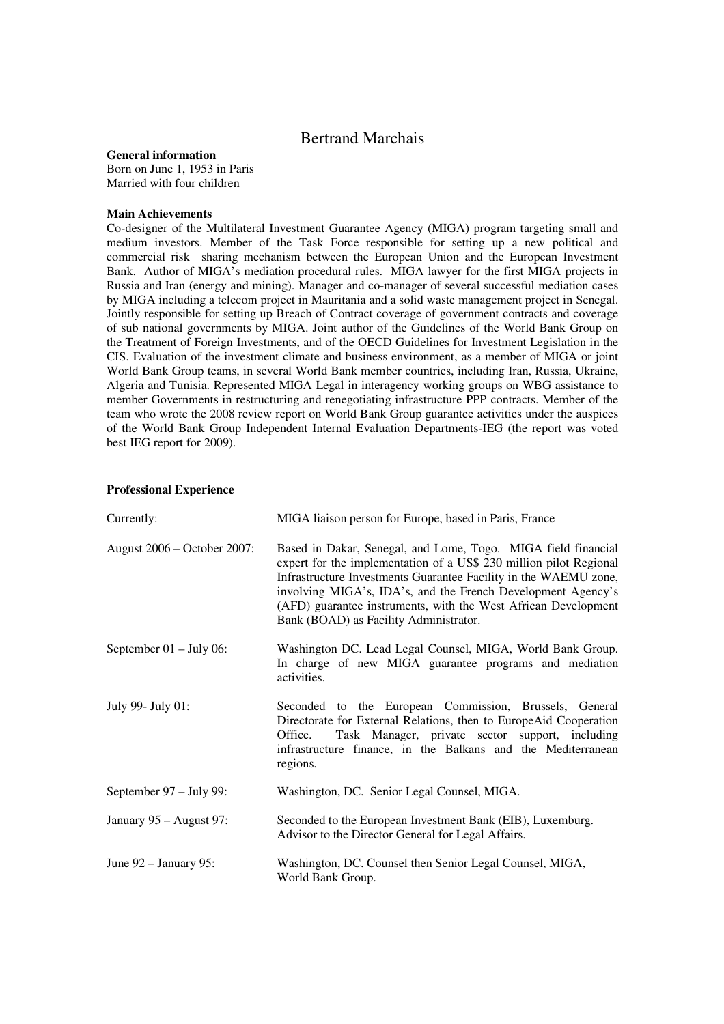# Bertrand Marchais

#### **General information**

Born on June 1, 1953 in Paris Married with four children

#### **Main Achievements**

Co-designer of the Multilateral Investment Guarantee Agency (MIGA) program targeting small and medium investors. Member of the Task Force responsible for setting up a new political and commercial risk sharing mechanism between the European Union and the European Investment Bank. Author of MIGA's mediation procedural rules. MIGA lawyer for the first MIGA projects in Russia and Iran (energy and mining). Manager and co-manager of several successful mediation cases by MIGA including a telecom project in Mauritania and a solid waste management project in Senegal. Jointly responsible for setting up Breach of Contract coverage of government contracts and coverage of sub national governments by MIGA. Joint author of the Guidelines of the World Bank Group on the Treatment of Foreign Investments, and of the OECD Guidelines for Investment Legislation in the CIS. Evaluation of the investment climate and business environment, as a member of MIGA or joint World Bank Group teams, in several World Bank member countries, including Iran, Russia, Ukraine, Algeria and Tunisia. Represented MIGA Legal in interagency working groups on WBG assistance to member Governments in restructuring and renegotiating infrastructure PPP contracts. Member of the team who wrote the 2008 review report on World Bank Group guarantee activities under the auspices of the World Bank Group Independent Internal Evaluation Departments-IEG (the report was voted best IEG report for 2009).

## **Professional Experience**

| Currently:                  | MIGA liaison person for Europe, based in Paris, France                                                                                                                                                                                                                                                                                                                              |
|-----------------------------|-------------------------------------------------------------------------------------------------------------------------------------------------------------------------------------------------------------------------------------------------------------------------------------------------------------------------------------------------------------------------------------|
| August 2006 – October 2007: | Based in Dakar, Senegal, and Lome, Togo. MIGA field financial<br>expert for the implementation of a US\$ 230 million pilot Regional<br>Infrastructure Investments Guarantee Facility in the WAEMU zone,<br>involving MIGA's, IDA's, and the French Development Agency's<br>(AFD) guarantee instruments, with the West African Development<br>Bank (BOAD) as Facility Administrator. |
| September $01 - July 06$ :  | Washington DC. Lead Legal Counsel, MIGA, World Bank Group.<br>In charge of new MIGA guarantee programs and mediation<br>activities.                                                                                                                                                                                                                                                 |
| July 99- July 01:           | Seconded to the European Commission, Brussels, General<br>Directorate for External Relations, then to EuropeAid Cooperation<br>Task Manager, private sector support, including<br>Office.<br>infrastructure finance, in the Balkans and the Mediterranean<br>regions.                                                                                                               |
| September 97 – July 99:     | Washington, DC. Senior Legal Counsel, MIGA.                                                                                                                                                                                                                                                                                                                                         |
| January 95 - August 97:     | Seconded to the European Investment Bank (EIB), Luxemburg.<br>Advisor to the Director General for Legal Affairs.                                                                                                                                                                                                                                                                    |
| June 92 – January 95:       | Washington, DC. Counsel then Senior Legal Counsel, MIGA,<br>World Bank Group.                                                                                                                                                                                                                                                                                                       |